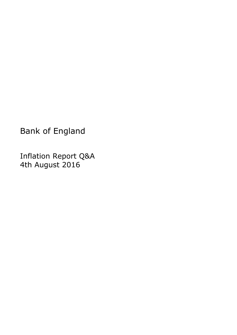Bank of England

Inflation Report Q&A 4th August 2016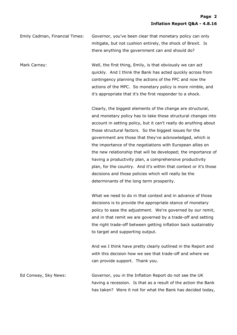Emily Cadman, Financial Times: Governor, you've been clear that monetary policy can only mitigate, but not cushion entirely, the shock of Brexit. Is there anything the government can and should do?

Mark Carney: Well, the first thing, Emily, is that obviously we can act quickly. And I think the Bank has acted quickly across from contingency planning the actions of the FPC and now the actions of the MPC. So monetary policy is more nimble, and it's appropriate that it's the first responder to a shock.

> Clearly, the biggest elements of the change are structural, and monetary policy has to take those structural changes into account in setting policy, but it can't really do anything about those structural factors. So the biggest issues for the government are those that they've acknowledged, which is the importance of the negotiations with European allies on the new relationship that will be developed; the importance of having a productivity plan, a comprehensive productivity plan, for the country. And it's within that context or it's those decisions and those policies which will really be the determinants of the long term prosperity.

What we need to do in that context and in advance of those decisions is to provide the appropriate stance of monetary policy to ease the adjustment. We're governed by our remit, and in that remit we are governed by a trade-off and setting the right trade-off between getting inflation back sustainably to target and supporting output.

And we I think have pretty clearly outlined in the Report and with this decision how we see that trade-off and where we can provide support. Thank you.

Ed Conway, Sky News: Governor, you in the Inflation Report do not see the UK having a recession. Is that as a result of the action the Bank has taken? Were it not for what the Bank has decided today,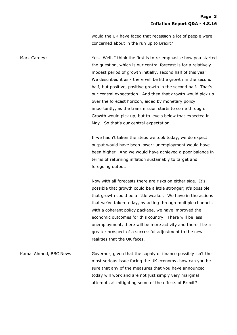would the UK have faced that recession a lot of people were concerned about in the run up to Brexit?

Mark Carney: The Mark Carney: The Message of Yes. Well, I think the first is to re-emphasise how you started the question, which is our central forecast is for a relatively modest period of growth initially, second half of this year. We described it as - there will be little growth in the second half, but positive, positive growth in the second half. That's our central expectation. And then that growth would pick up over the forecast horizon, aided by monetary policy importantly, as the transmission starts to come through. Growth would pick up, but to levels below that expected in May. So that's our central expectation.

> If we hadn't taken the steps we took today, we do expect output would have been lower; unemployment would have been higher. And we would have achieved a poor balance in terms of returning inflation sustainably to target and foregoing output.

> Now with all forecasts there are risks on either side. It's possible that growth could be a little stronger; it's possible that growth could be a little weaker. We have in the actions that we've taken today, by acting through multiple channels with a coherent policy package, we have improved the economic outcomes for this country. There will be less unemployment, there will be more activity and there'll be a greater prospect of a successful adjustment to the new realities that the UK faces.

Kamal Ahmed, BBC News: Governor, given that the supply of finance possibly isn't the most serious issue facing the UK economy, how can you be sure that any of the measures that you have announced today will work and are not just simply very marginal attempts at mitigating some of the effects of Brexit?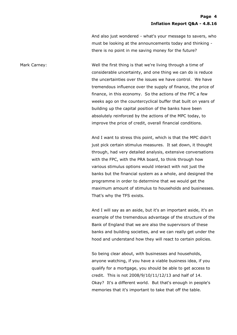And also just wondered - what's your message to savers, who must be looking at the announcements today and thinking there is no point in me saving money for the future?

Mark Carney: Well the first thing is that we're living through a time of considerable uncertainty, and one thing we can do is reduce the uncertainties over the issues we have control. We have tremendous influence over the supply of finance, the price of finance, in this economy. So the actions of the FPC a few weeks ago on the countercyclical buffer that built on years of building up the capital position of the banks have been absolutely reinforced by the actions of the MPC today, to improve the price of credit, overall financial conditions.

> And I want to stress this point, which is that the MPC didn't just pick certain stimulus measures. It sat down, it thought through, had very detailed analysis, extensive conversations with the FPC, with the PRA board, to think through how various stimulus options would interact with not just the banks but the financial system as a whole, and designed the programme in order to determine that we would get the maximum amount of stimulus to households and businesses. That's why the TFS exists.

And I will say as an aside, but it's an important aside, it's an example of the tremendous advantage of the structure of the Bank of England that we are also the supervisors of these banks and building societies, and we can really get under the hood and understand how they will react to certain policies.

So being clear about, with businesses and households, anyone watching, if you have a viable business idea, if you qualify for a mortgage, you should be able to get access to credit. This is not 2008/9/10/11/12/13 and half of 14. Okay? It's a different world. But that's enough in people's memories that it's important to take that off the table.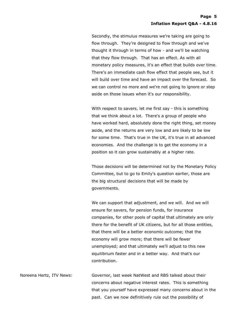Secondly, the stimulus measures we're taking are going to flow through. They're designed to flow through and we've thought it through in terms of how - and we'll be watching that they flow through. That has an effect. As with all monetary policy measures, it's an effect that builds over time. There's an immediate cash flow effect that people see, but it will build over time and have an impact over the forecast. So we can control no more and we're not going to ignore or step aside on those issues when it's our responsibility.

With respect to savers, let me first say - this is something that we think about a lot. There's a group of people who have worked hard, absolutely done the right thing, set money aside, and the returns are very low and are likely to be low for some time. That's true in the UK, it's true in all advanced economies. And the challenge is to get the economy in a position so it can grow sustainably at a higher rate.

Those decisions will be determined not by the Monetary Policy Committee, but to go to Emily's question earlier, those are the big structural decisions that will be made by governments.

We can support that adjustment, and we will. And we will ensure for savers, for pension funds, for insurance companies, for other pools of capital that ultimately are only there for the benefit of UK citizens, but for all those entities, that there will be a better economic outcome; that the economy will grow more; that there will be fewer unemployed; and that ultimately we'll adjust to this new equilibrium faster and in a better way. And that's our contribution.

Noreena Hertz, ITV News: Governor, last week NatWest and RBS talked about their concerns about negative interest rates. This is something that you yourself have expressed many concerns about in the past. Can we now definitively rule out the possibility of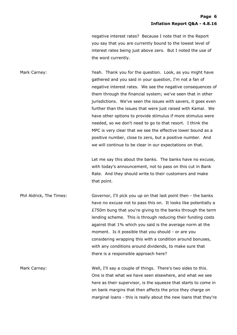negative interest rates? Because I note that in the Report you say that you are currently bound to the lowest level of interest rates being just above zero. But I noted the use of the word currently.

Mark Carney: Yeah. Thank you for the question. Look, as you might have gathered and you said in your question, I'm not a fan of negative interest rates. We see the negative consequences of them through the financial system; we've seen that in other jurisdictions. We've seen the issues with savers, it goes even further than the issues that were just raised with Kamal. We have other options to provide stimulus if more stimulus were needed, so we don't need to go to that resort. I think the MPC is very clear that we see the effective lower bound as a positive number, close to zero, but a positive number. And we will continue to be clear in our expectations on that.

> Let me say this about the banks. The banks have no excuse, with today's announcement, not to pass on this cut in Bank Rate. And they should write to their customers and make that point.

Phil Aldrick, The Times: Governor, I'll pick you up on that last point then - the banks have no excuse not to pass this on. It looks like potentially a £750m bung that you're giving to the banks through the term lending scheme. This is through reducing their funding costs against that 1% which you said is the average norm at the moment. Is it possible that you should - or are you considering wrapping this with a condition around bonuses, with any conditions around dividends, to make sure that there is a responsible approach here?

Mark Carney: Well, I'll say a couple of things. There's two sides to this. One is that what we have seen elsewhere, and what we see here as their supervisor, is the squeeze that starts to come in on bank margins that then affects the price they charge on marginal loans - this is really about the new loans that they're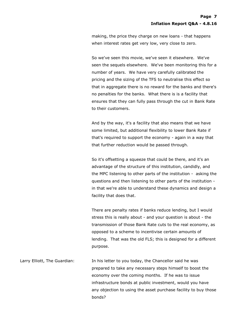making, the price they charge on new loans - that happens when interest rates get very low, very close to zero.

So we've seen this movie, we've seen it elsewhere. We've seen the sequels elsewhere. We've been monitoring this for a number of years. We have very carefully calibrated the pricing and the sizing of the TFS to neutralise this effect so that in aggregate there is no reward for the banks and there's no penalties for the banks. What there is is a facility that ensures that they can fully pass through the cut in Bank Rate to their customers.

And by the way, it's a facility that also means that we have some limited, but additional flexibility to lower Bank Rate if that's required to support the economy - again in a way that that further reduction would be passed through.

So it's offsetting a squeeze that could be there, and it's an advantage of the structure of this institution, candidly, and the MPC listening to other parts of the institution - asking the questions and then listening to other parts of the institution in that we're able to understand these dynamics and design a facility that does that.

There are penalty rates if banks reduce lending, but I would stress this is really about - and your question is about - the transmission of those Bank Rate cuts to the real economy, as opposed to a scheme to incentivise certain amounts of lending. That was the old FLS; this is designed for a different purpose.

Larry Elliott, The Guardian: In his letter to you today, the Chancellor said he was prepared to take any necessary steps himself to boost the economy over the coming months. If he was to issue infrastructure bonds at public investment, would you have any objection to using the asset purchase facility to buy those bonds?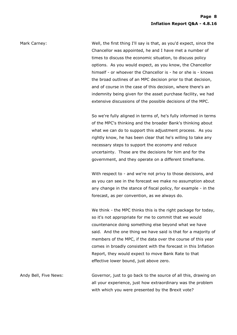Mark Carney: Well, the first thing I'll say is that, as you'd expect, since the Chancellor was appointed, he and I have met a number of times to discuss the economic situation, to discuss policy options. As you would expect, as you know, the Chancellor himself - or whoever the Chancellor is - he or she is - knows the broad outlines of an MPC decision prior to that decision, and of course in the case of this decision, where there's an indemnity being given for the asset purchase facility, we had extensive discussions of the possible decisions of the MPC.

> So we're fully aligned in terms of, he's fully informed in terms of the MPC's thinking and the broader Bank's thinking about what we can do to support this adjustment process. As you rightly know, he has been clear that he's willing to take any necessary steps to support the economy and reduce uncertainty. Those are the decisions for him and for the government, and they operate on a different timeframe.

> With respect to - and we're not privy to those decisions, and as you can see in the forecast we make no assumption about any change in the stance of fiscal policy, for example - in the forecast, as per convention, as we always do.

> We think - the MPC thinks this is the right package for today, so it's not appropriate for me to commit that we would countenance doing something else beyond what we have said. And the one thing we have said is that for a majority of members of the MPC, if the data over the course of this year comes in broadly consistent with the forecast in this Inflation Report, they would expect to move Bank Rate to that effective lower bound, just above zero.

Andy Bell, Five News: Governor, just to go back to the source of all this, drawing on all your experience, just how extraordinary was the problem with which you were presented by the Brexit vote?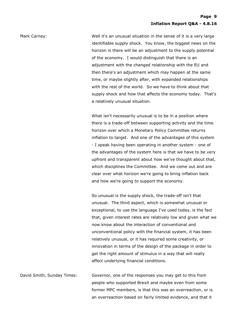Mark Carney: Well it's an unusual situation in the sense of it is a very large identifiable supply shock. You know, the biggest news on the horizon is there will be an adjustment to the supply potential of the economy. I would distinguish that there is an adjustment with the changed relationship with the EU and then there's an adjustment which may happen at the same time, or maybe slightly after, with expanded relationships with the rest of the world. So we have to think about that supply shock and how that affects the economy today. That's a relatively unusual situation.

> What isn't necessarily unusual is to be in a position where there is a trade-off between supporting activity and the time horizon over which a Monetary Policy Committee returns inflation to target. And one of the advantages of this system - I speak having been operating in another system - one of the advantages of the system here is that we have to be very upfront and transparent about how we've thought about that, which disciplines the Committee. And we come out and are clear over what horizon we're going to bring inflation back and how we're going to support the economy.

> So unusual is the supply shock, the trade-off isn't that unusual. The third aspect, which is somewhat unusual or exceptional, to use the language I've used today, is the fact that, given interest rates are relatively low and given what we now know about the interaction of conventional and unconventional policy with the financial system, it has been relatively unusual, or it has required some creativity, or innovation in terms of the design of the package in order to get the right amount of stimulus in a way that will really affect underlying financial conditions.

David Smith, Sunday Times: Governor, one of the responses you may get to this from people who supported Brexit and maybe even from some former MPC members, is that this was an overreaction, or is an overreaction based on fairly limited evidence, and that it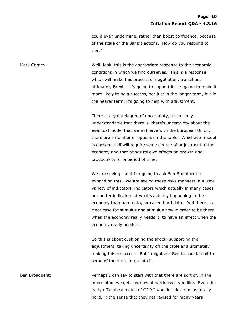could even undermine, rather than boost confidence, because of the scale of the Bank's actions. How do you respond to that?

Mark Carney: Well, look, this is the appropriate response to the economic conditions in which we find ourselves. This is a response which will make this process of negotiation, transition, ultimately Brexit - it's going to support it, it's going to make it more likely to be a success, not just in the longer term, but in the nearer term, it's going to help with adjustment.

> There is a great degree of uncertainty, it's entirely understandable that there is, there's uncertainty about the eventual model that we will have with the European Union, there are a number of options on the table. Whichever model is chosen itself will require some degree of adjustment in the economy and that brings its own effects on growth and productivity for a period of time.

> We are seeing - and I'm going to ask Ben Broadbent to expand on this - we are seeing these risks manifest in a wide variety of indicators, indicators which actually in many cases are better indicators of what's actually happening in the economy than hard data, so-called hard data. And there is a clear case for stimulus and stimulus now in order to be there when the economy really needs it, to have an effect when the economy really needs it.

So this is about cushioning the shock, supporting the adjustment, taking uncertainty off the table and ultimately making this a success. But I might ask Ben to speak a bit to some of the data, to go into it.

Ben Broadbent: Perhaps I can say to start with that there are sort of, in the information we get, degrees of hardness if you like. Even the early official estimates of GDP I wouldn't describe as totally hard, in the sense that they get revised for many years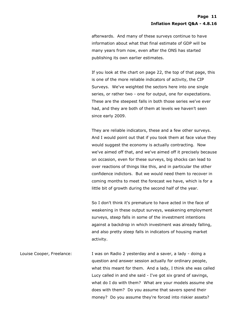afterwards. And many of these surveys continue to have information about what that final estimate of GDP will be many years from now, even after the ONS has started publishing its own earlier estimates.

If you look at the chart on page 22, the top of that page, this is one of the more reliable indicators of activity, the CIP Surveys. We've weighted the sectors here into one single series, or rather two - one for output, one for expectations. These are the steepest falls in both those series we've ever had, and they are both of them at levels we haven't seen since early 2009.

They are reliable indicators, these and a few other surveys. And I would point out that if you took them at face value they would suggest the economy is actually contracting. Now we've aimed off that, and we've aimed off it precisely because on occasion, even for these surveys, big shocks can lead to over reactions of things like this, and in particular the other confidence indictors. But we would need them to recover in coming months to meet the forecast we have, which is for a little bit of growth during the second half of the year.

So I don't think it's premature to have acted in the face of weakening in these output surveys, weakening employment surveys, steep falls in some of the investment intentions against a backdrop in which investment was already falling, and also pretty steep falls in indicators of housing market activity.

Louise Cooper, Freelance: I was on Radio 2 yesterday and a saver, a lady - doing a question and answer session actually for ordinary people, what this meant for them. And a lady, I think she was called Lucy called in and she said - I've got six grand of savings, what do I do with them? What are your models assume she does with them? Do you assume that savers spend their money? Do you assume they're forced into riskier assets?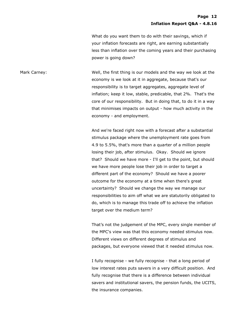What do you want them to do with their savings, which if your inflation forecasts are right, are earning substantially less than inflation over the coming years and their purchasing power is going down?

Mark Carney: Well, the first thing is our models and the way we look at the economy is we look at it in aggregate, because that's our responsibility is to target aggregates, aggregate level of inflation; keep it low, stable, predicable, that 2%. That's the core of our responsibility. But in doing that, to do it in a way that minimises impacts on output - how much activity in the economy - and employment.

> And we're faced right now with a forecast after a substantial stimulus package where the unemployment rate goes from 4.9 to 5.5%, that's more than a quarter of a million people losing their job, after stimulus. Okay. Should we ignore that? Should we have more - I'll get to the point, but should we have more people lose their job in order to target a different part of the economy? Should we have a poorer outcome for the economy at a time when there's great uncertainty? Should we change the way we manage our responsibilities to aim off what we are statutorily obligated to do, which is to manage this trade off to achieve the inflation target over the medium term?

> That's not the judgement of the MPC, every single member of the MPC's view was that this economy needed stimulus now. Different views on different degrees of stimulus and packages, but everyone viewed that it needed stimulus now.

> I fully recognise - we fully recognise - that a long period of low interest rates puts savers in a very difficult position. And fully recognise that there is a difference between individual savers and institutional savers, the pension funds, the UCITS, the insurance companies.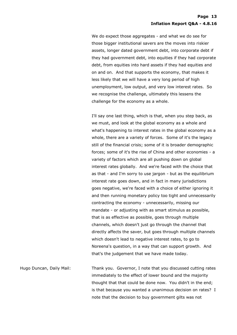We do expect those aggregates - and what we do see for those bigger institutional savers are the moves into riskier assets, longer dated government debt, into corporate debt if they had government debt, into equities if they had corporate debt, from equities into hard assets if they had equities and on and on. And that supports the economy, that makes it less likely that we will have a very long period of high unemployment, low output, and very low interest rates. So we recognise the challenge, ultimately this lessens the challenge for the economy as a whole.

I'll say one last thing, which is that, when you step back, as we must, and look at the global economy as a whole and what's happening to interest rates in the global economy as a whole, there are a variety of forces. Some of it's the legacy still of the financial crisis; some of it is broader demographic forces; some of it's the rise of China and other economies - a variety of factors which are all pushing down on global interest rates globally. And we're faced with the choice that as that - and I'm sorry to use jargon - but as the equilibrium interest rate goes down, and in fact in many jurisdictions goes negative, we're faced with a choice of either ignoring it and then running monetary policy too tight and unnecessarily contracting the economy - unnecessarily, missing our mandate - or adjusting with as smart stimulus as possible, that is as effective as possible, goes through multiple channels, which doesn't just go through the channel that directly affects the saver, but goes through multiple channels which doesn't lead to negative interest rates, to go to Noreena's question, in a way that can support growth. And that's the judgement that we have made today.

Hugo Duncan, Daily Mail: Thank you. Governor, I note that you discussed cutting rates immediately to the effect of lower bound and the majority thought that that could be done now. You didn't in the end; is that because you wanted a unanimous decision on rates? I note that the decision to buy government gilts was not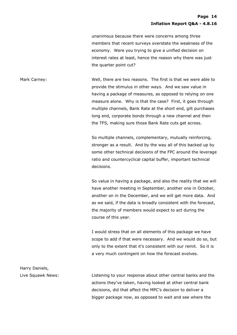unanimous because there were concerns among three members that recent surveys overstate the weakness of the economy. Were you trying to give a unified decision on interest rates at least, hence the reason why there was just the quarter point cut?

Mark Carney: Well, there are two reasons. The first is that we were able to provide the stimulus in other ways. And we saw value in having a package of measures, as opposed to relying on one measure alone. Why is that the case? First, it goes through multiple channels, Bank Rate at the short end, gilt purchases long end, corporate bonds through a new channel and then the TFS, making sure those Bank Rate cuts get across.

> So multiple channels, complementary, mutually reinforcing, stronger as a result. And by the way all of this backed up by some other technical decisions of the FPC around the leverage ratio and countercyclical capital buffer, important technical decisions.

> So value in having a package, and also the reality that we will have another meeting in September, another one in October, another on in the December, and we will get more data. And as we said, if the data is broadly consistent with the forecast, the majority of members would expect to act during the course of this year.

> I would stress that on all elements of this package we have scope to add if that were necessary. And we would do so, but only to the extent that it's consistent with our remit. So it is a very much contingent on how the forecast evolves.

Live Squawk News: Listening to your response about other central banks and the actions they've taken, having looked at other central bank decisions, did that affect the MPC's decision to deliver a bigger package now, as opposed to wait and see where the

Harry Daniels,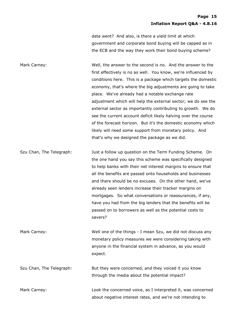data went? And also, is there a yield limit at which government and corporate bond buying will be capped as in the ECB and the way they work their bond buying scheme?

Mark Carney: Well, the answer to the second is no. And the answer to the first effectively is no as well. You know, we're influenced by conditions here. This is a package which targets the domestic economy, that's where the big adjustments are going to take place. We've already had a notable exchange rate adjustment which will help the external sector; we do see the external sector as importantly contributing to growth. We do see the current account deficit likely halving over the course of the forecast horizon. But it's the domestic economy which likely will need some support from monetary policy. And that's why we designed the package as we did.

Szu Chan, The Telegraph: Just a follow up question on the Term Funding Scheme. On the one hand you say this scheme was specifically designed to help banks with their net interest margins to ensure that all the benefits are passed onto households and businesses and there should be no excuses. On the other hand, we've already seen lenders increase their tracker margins on mortgages. So what conversations or reassurances, if any, have you had from the big lenders that the benefits will be passed on to borrowers as well as the potential costs to savers?

Mark Carney: Well one of the things - I mean Szu, we did not discuss any monetary policy measures we were considering taking with anyone in the financial system in advance, as you would expect.

Szu Chan, The Telegraph: But they were concerned, and they voiced it you know through the media about the potential impact?

Mark Carney: Look the concerned voice, as I interpreted it, was concerned about negative interest rates, and we're not intending to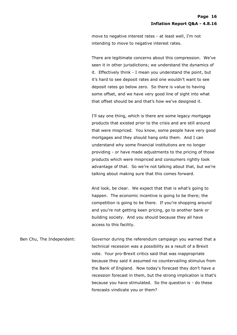move to negative interest rates - at least well, I'm not intending to move to negative interest rates.

There are legitimate concerns about this compression. We've seen it in other jurisdictions; we understand the dynamics of it. Effectively think - I mean you understand the point, but it's hard to see deposit rates and one wouldn't want to see deposit rates go below zero. So there is value to having some offset, and we have very good line of sight into what that offset should be and that's how we've designed it.

I'll say one thing, which is there are some legacy mortgage products that existed prior to the crisis and are still around that were mispriced. You know, some people have very good mortgages and they should hang onto them. And I can understand why some financial institutions are no longer providing - or have made adjustments to the pricing of those products which were mispriced and consumers rightly took advantage of that. So we're not talking about that, but we're talking about making sure that this comes forward.

And look, be clear. We expect that that is what's going to happen. The economic incentive is going to be there; the competition is going to be there. If you're shopping around and you're not getting keen pricing, go to another bank or building society. And you should because they all have access to this facility.

Ben Chu, The Independent: Governor during the referendum campaign you warned that a technical recession was a possibility as a result of a Brexit vote. Your pro-Brexit critics said that was inappropriate because they said it assumed no countervailing stimulus from the Bank of England. Now today's forecast they don't have a recession forecast in them, but the strong implication is that's because you have stimulated. So the question is - do these forecasts vindicate you or them?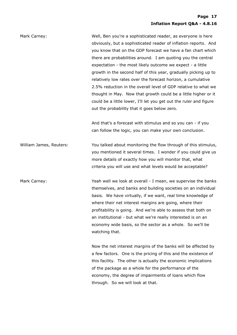| Mark Carney:            | Well, Ben you're a sophisticated reader, as everyone is here<br>obviously, but a sophisticated reader of inflation reports. And<br>you know that on the GDP forecast we have a fan chart which<br>there are probabilities around. I am quoting you the central<br>expectation - the most likely outcome we expect - a little<br>growth in the second half of this year, gradually picking up to<br>relatively low rates over the forecast horizon, a cumulative<br>2.5% reduction in the overall level of GDP relative to what we<br>thought in May. Now that growth could be a little higher or it<br>could be a little lower, I'll let you get out the ruler and figure<br>out the probability that it goes below zero.<br>And that's a forecast with stimulus and so you can - if you<br>can follow the logic, you can make your own conclusion. |
|-------------------------|-----------------------------------------------------------------------------------------------------------------------------------------------------------------------------------------------------------------------------------------------------------------------------------------------------------------------------------------------------------------------------------------------------------------------------------------------------------------------------------------------------------------------------------------------------------------------------------------------------------------------------------------------------------------------------------------------------------------------------------------------------------------------------------------------------------------------------------------------------|
| William James, Reuters: | You talked about monitoring the flow through of this stimulus,<br>you mentioned it several times. I wonder if you could give us<br>more details of exactly how you will monitor that, what<br>criteria you will use and what levels would be acceptable?                                                                                                                                                                                                                                                                                                                                                                                                                                                                                                                                                                                            |
| Mark Carney:            | Yeah well we look at overall - I mean, we supervise the banks<br>themselves, and banks and building societies on an individual<br>basis. We have virtually, if we want, real time knowledge of<br>where their net interest margins are going, where their<br>profitability is going. And we're able to assess that both on<br>an institutional - but what we're really interested is on an<br>economy wide basis, so the sector as a whole. So we'll be<br>watching that.<br>Now the net interest margins of the banks will be affected by<br>a few factors. One is the pricing of this and the existence of                                                                                                                                                                                                                                        |
|                         | this facility. The other is actually the economic implications<br>of the package as a whole for the performance of the<br>economy, the degree of impairments of loans which flow<br>through. So we will look at that.                                                                                                                                                                                                                                                                                                                                                                                                                                                                                                                                                                                                                               |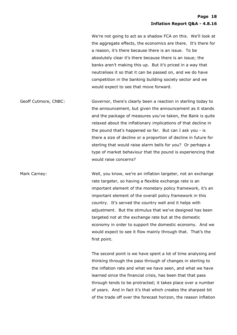We're not going to act as a shadow FCA on this. We'll look at the aggregate effects, the economics are there. It's there for a reason, it's there because there is an issue. To be absolutely clear it's there because there is an issue; the banks aren't making this up. But it's priced in a way that neutralises it so that it can be passed on, and we do have competition in the banking building society sector and we would expect to see that move forward.

Geoff Cutmore, CNBC: Governor, there's clearly been a reaction in sterling today to the announcement, but given the announcement as it stands and the package of measures you've taken, the Bank is quite relaxed about the inflationary implications of that decline in the pound that's happened so far. But can I ask you - is there a size of decline or a proportion of decline in future for sterling that would raise alarm bells for you? Or perhaps a type of market behaviour that the pound is experiencing that would raise concerns?

Mark Carney: Well, you know, we're an inflation targeter, not an exchange rate targeter, so having a flexible exchange rate is an important element of the monetary policy framework, it's an important element of the overall policy framework in this country. It's served the country well and it helps with adjustment. But the stimulus that we've designed has been targeted not at the exchange rate but at the domestic economy in order to support the domestic economy. And we would expect to see it flow mainly through that. That's the first point.

> The second point is we have spent a lot of time analysing and thinking through the pass through of changes in sterling to the inflation rate and what we have seen, and what we have learned since the financial crisis, has been that that pass through tends to be protracted; it takes place over a number of years. And in fact it's that which creates the sharpest bit of the trade off over the forecast horizon, the reason inflation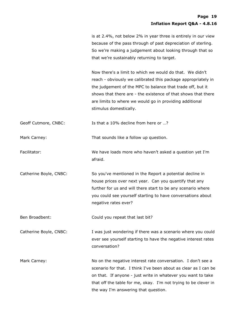|                        | is at 2.4%, not below 2% in year three is entirely in our view<br>because of the pass through of past depreciation of sterling.<br>So we're making a judgement about looking through that so<br>that we're sustainably returning to target.                                                                                                   |
|------------------------|-----------------------------------------------------------------------------------------------------------------------------------------------------------------------------------------------------------------------------------------------------------------------------------------------------------------------------------------------|
|                        | Now there's a limit to which we would do that. We didn't<br>reach - obviously we calibrated this package appropriately in<br>the judgement of the MPC to balance that trade off, but it<br>shows that there are - the existence of that shows that there<br>are limits to where we would go in providing additional<br>stimulus domestically. |
| Geoff Cutmore, CNBC:   | Is that a 10% decline from here or ?                                                                                                                                                                                                                                                                                                          |
| Mark Carney:           | That sounds like a follow up question.                                                                                                                                                                                                                                                                                                        |
| Facilitator:           | We have loads more who haven't asked a question yet I'm<br>afraid.                                                                                                                                                                                                                                                                            |
| Catherine Boyle, CNBC: | So you've mentioned in the Report a potential decline in<br>house prices over next year. Can you quantify that any<br>further for us and will there start to be any scenario where<br>you could see yourself starting to have conversations about<br>negative rates ever?                                                                     |
| Ben Broadbent:         | Could you repeat that last bit?                                                                                                                                                                                                                                                                                                               |
| Catherine Boyle, CNBC: | I was just wondering if there was a scenario where you could<br>ever see yourself starting to have the negative interest rates<br>conversation?                                                                                                                                                                                               |
| Mark Carney:           | No on the negative interest rate conversation. I don't see a<br>scenario for that. I think I've been about as clear as I can be<br>on that. If anyone - just write in whatever you want to take<br>that off the table for me, okay. I'm not trying to be clever in<br>the way I'm answering that question.                                    |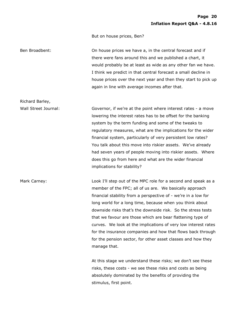But on house prices, Ben?

Richard Barley,

Ben Broadbent: On house prices we have a, in the central forecast and if there were fans around this and we published a chart, it would probably be at least as wide as any other fan we have. I think we predict in that central forecast a small decline in house prices over the next year and then they start to pick up again in line with average incomes after that.

Wall Street Journal: Governor, if we're at the point where interest rates - a move lowering the interest rates has to be offset for the banking system by the term funding and some of the tweaks to regulatory measures, what are the implications for the wider financial system, particularly of very persistent low rates? You talk about this move into riskier assets. We've already had seven years of people moving into riskier assets. Where does this go from here and what are the wider financial implications for stability?

Mark Carney: The Mark Carney: Look I'll step out of the MPC role for a second and speak as a member of the FPC; all of us are. We basically approach financial stability from a perspective of - we're in a low for long world for a long time, because when you think about downside risks that's the downside risk. So the stress tests that we favour are those which are bear flattening type of curves. We look at the implications of very low interest rates for the insurance companies and how that flows back through for the pension sector, for other asset classes and how they manage that.

> At this stage we understand these risks; we don't see these risks, these costs - we see these risks and costs as being absolutely dominated by the benefits of providing the stimulus, first point.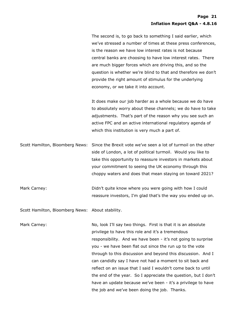The second is, to go back to something I said earlier, which we've stressed a number of times at these press conferences, is the reason we have low interest rates is not because central banks are choosing to have low interest rates. There are much bigger forces which are driving this, and so the question is whether we're blind to that and therefore we don't provide the right amount of stimulus for the underlying economy, or we take it into account.

It does make our job harder as a whole because we do have to absolutely worry about these channels; we do have to take adjustments. That's part of the reason why you see such an active FPC and an active international regulatory agenda of which this institution is very much a part of.

Scott Hamilton, Bloomberg News: Since the Brexit vote we've seen a lot of turmoil on the other side of London, a lot of political turmoil. Would you like to take this opportunity to reassure investors in markets about your commitment to seeing the UK economy through this choppy waters and does that mean staying on toward 2021?

Mark Carney: The South Carney: Didn't quite know where you were going with how I could reassure investors, I'm glad that's the way you ended up on.

Scott Hamilton, Bloomberg News: About stability.

Mark Carney: No, look I'll say two things. First is that it is an absolute privilege to have this role and it's a tremendous responsibility. And we have been - it's not going to surprise you - we have been flat out since the run up to the vote through to this discussion and beyond this discussion. And I can candidly say I have not had a moment to sit back and reflect on an issue that I said I wouldn't come back to until the end of the year. So I appreciate the question, but I don't have an update because we've been - it's a privilege to have the job and we've been doing the job. Thanks.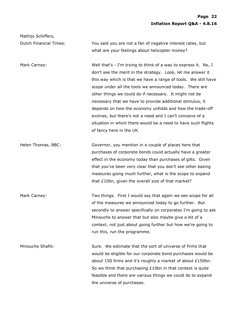Dutch Financial Times: You said you are not a fan of negative interest rates, but what are your feelings about helicopter money?

Mathijs Schiffers,

Mark Carney: The South of the Well that's - I'm trying to think of a way to express it. No, I don't see the merit in the strategy. Look, let me answer it this way which is that we have a range of tools. We still have scope under all the tools we announced today. There are other things we could do if necessary. It might not be necessary that we have to provide additional stimulus, it depends on how the economy unfolds and how the trade-off evolves, but there's not a need and I can't conceive of a situation in which there would be a need to have such flights of fancy here in the UK.

Helen Thomas, BBC: Governor, you mention in a couple of places here that purchases of corporate bonds could actually have a greater effect in the economy today than purchases of gilts. Given that you've been very clear that you don't see other easing measures going much further, what is the scope to expand that £10bn, given the overall size of that market?

Mark Carney: Two things. First I would say that again we see scope for all of the measures we announced today to go further. But secondly to answer specifically on corporates I'm going to ask Minouche to answer that but also maybe give a bit of a context, not just about going further but how we're going to run this, run the programme.

Minouche Shafik: Sure. We estimate that the sort of universe of firms that would be eligible for our corporate bond purchases would be about 150 firms and it's roughly a market of about £150bn. So we think that purchasing £10bn in that context is quite feasible and there are various things we could do to expand the universe of purchases.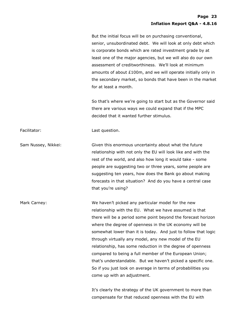But the initial focus will be on purchasing conventional, senior, unsubordinated debt. We will look at only debt which is corporate bonds which are rated investment grade by at least one of the major agencies, but we will also do our own assessment of creditworthiness. We'll look at minimum amounts of about £100m, and we will operate initially only in the secondary market, so bonds that have been in the market for at least a month.

So that's where we're going to start but as the Governor said there are various ways we could expand that if the MPC decided that it wanted further stimulus.

Facilitator: Cassicular Last question.

Sam Nussey, Nikkei: Given this enormous uncertainty about what the future relationship with not only the EU will look like and with the rest of the world, and also how long it would take - some people are suggesting two or three years, some people are suggesting ten years, how does the Bank go about making forecasts in that situation? And do you have a central case that you're using?

Mark Carney: We haven't picked any particular model for the new relationship with the EU. What we have assumed is that there will be a period some point beyond the forecast horizon where the degree of openness in the UK economy will be somewhat lower than it is today. And just to follow that logic through virtually any model, any new model of the EU relationship, has some reduction in the degree of openness compared to being a full member of the European Union; that's understandable. But we haven't picked a specific one. So if you just look on average in terms of probabilities you come up with an adjustment.

> It's clearly the strategy of the UK government to more than compensate for that reduced openness with the EU with